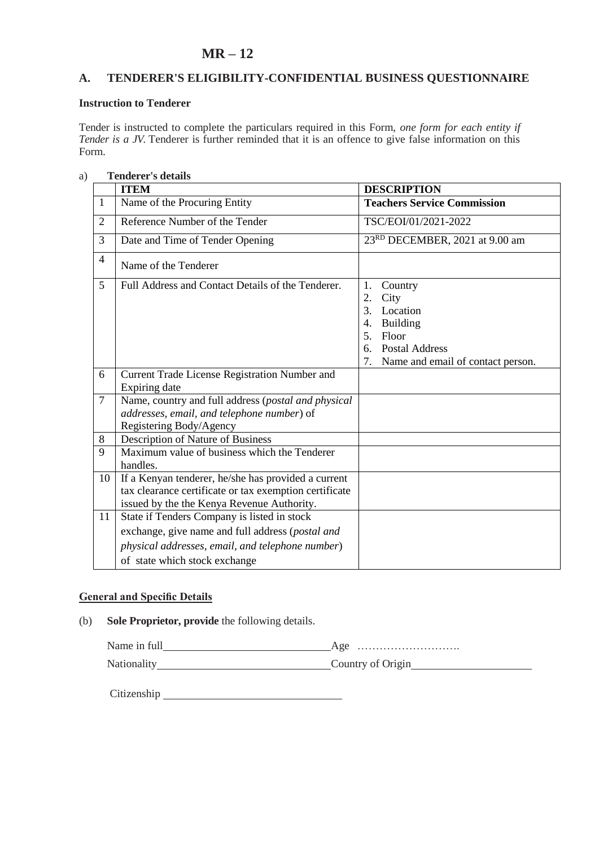# **MR – 12**

## **A. TENDERER'S ELIGIBILITY-CONFIDENTIAL BUSINESS QUESTIONNAIRE**

### **Instruction to Tenderer**

Tender is instructed to complete the particulars required in this Form, *one form for each entity if Tender is a JV.* Tenderer is further reminded that it is an offence to give false information on this Form.

| a) |                | <b>Tenderer's details</b>                                                                                                                                                            |                                                                                                                                                                 |  |  |
|----|----------------|--------------------------------------------------------------------------------------------------------------------------------------------------------------------------------------|-----------------------------------------------------------------------------------------------------------------------------------------------------------------|--|--|
|    |                | <b>ITEM</b>                                                                                                                                                                          | <b>DESCRIPTION</b>                                                                                                                                              |  |  |
|    | 1              | Name of the Procuring Entity                                                                                                                                                         | <b>Teachers Service Commission</b>                                                                                                                              |  |  |
|    | $\overline{2}$ | Reference Number of the Tender                                                                                                                                                       | TSC/EOI/01/2021-2022                                                                                                                                            |  |  |
|    | 3              | Date and Time of Tender Opening                                                                                                                                                      | 23RD DECEMBER, 2021 at 9.00 am                                                                                                                                  |  |  |
|    | $\overline{4}$ | Name of the Tenderer                                                                                                                                                                 |                                                                                                                                                                 |  |  |
|    | 5              | Full Address and Contact Details of the Tenderer.                                                                                                                                    | 1.<br>Country<br>2.<br>City<br>3.<br>Location<br><b>Building</b><br>4.<br>Floor<br>5.<br><b>Postal Address</b><br>6.<br>7.<br>Name and email of contact person. |  |  |
|    | 6              | Current Trade License Registration Number and<br>Expiring date                                                                                                                       |                                                                                                                                                                 |  |  |
|    | $\overline{7}$ | Name, country and full address (postal and physical<br>addresses, email, and telephone number) of<br>Registering Body/Agency                                                         |                                                                                                                                                                 |  |  |
|    | 8              | Description of Nature of Business                                                                                                                                                    |                                                                                                                                                                 |  |  |
|    | 9              | Maximum value of business which the Tenderer<br>handles.                                                                                                                             |                                                                                                                                                                 |  |  |
|    | 10             | If a Kenyan tenderer, he/she has provided a current<br>tax clearance certificate or tax exemption certificate<br>issued by the the Kenya Revenue Authority.                          |                                                                                                                                                                 |  |  |
|    | 11             | State if Tenders Company is listed in stock<br>exchange, give name and full address (postal and<br>physical addresses, email, and telephone number)<br>of state which stock exchange |                                                                                                                                                                 |  |  |

# **General and Specific Details**

(b) **Sole Proprietor, provide** the following details.

Name in full Age ……………………….

Nationality Country of Origin

Citizenship